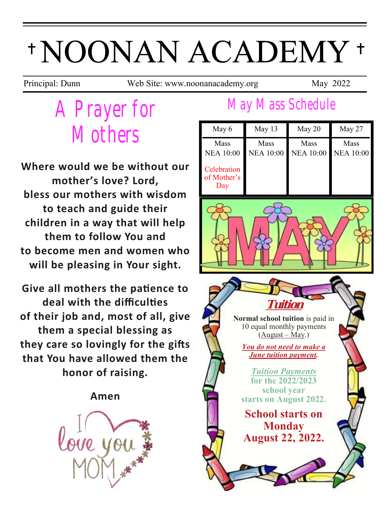# \*NOONAN ACADEMY \*

Principal: Dunn Web Site: www.noonanacademy.org May 2022

## *A Prayer for Mothers*

**Where would we be without our mother's love? Lord, bless our mothers with wisdom to teach and guide their children in a way that will help them to follow You and to become men and women who will be pleasing in Your sight.**

**Give all mothers the patience to deal with the difficulties of their job and, most of all, give them a special blessing as they care so lovingly for the gifts that You have allowed them the honor of raising.**

#### **Amen**



### *May Mass Schedule*

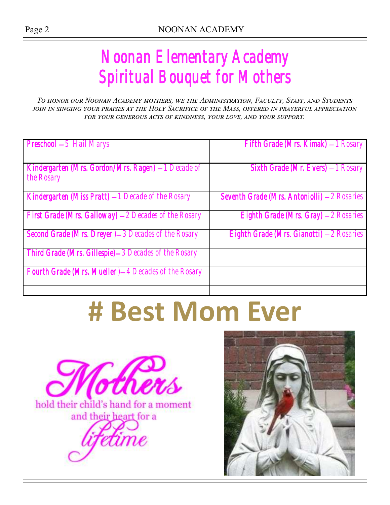### *Noonan Elementary Academy Spiritual Bouquet for Mothers*

*To honor our Noonan Academy mothers, we the Administration, Faculty, Staff, and Students join in singing your praises at the Holy Sacrifice of the Mass, offered in prayerful appreciation for your generous acts of kindness, your love, and your support.* 

| <b>Preschool - 5 Hail Marys</b>                                   | Fifth Grade (Mrs. Kimak) - 1 Rosary          |
|-------------------------------------------------------------------|----------------------------------------------|
| Kindergarten (Mrs. Gordon/Mrs. Ragen) - 1 Decade of<br>the Rosary | Sixth Grade (Mr. Evers) - 1 Rosary           |
| Kindergarten (Miss Pratt) - 1 Decade of the Rosary                | Seventh Grade (Mrs. Antoniolli) - 2 Rosaries |
| First Grade (Mrs. Galloway) - 2 Decades of the Rosary             | Eighth Grade (Mrs. Gray) - 2 Rosaries        |
| Second Grade (Mrs. Dreyer) - 3 Decades of the Rosary              | Eighth Grade (Mrs. Gianotti) - 2 Rosaries    |
| Third Grade (Mrs. Gillespie)-3 Decades of the Rosary              |                                              |
| <b>Fourth Grade (Mrs. Mueller) - 4 Decades of the Rosary</b>      |                                              |
|                                                                   |                                              |

# **# Best Mom Ever**



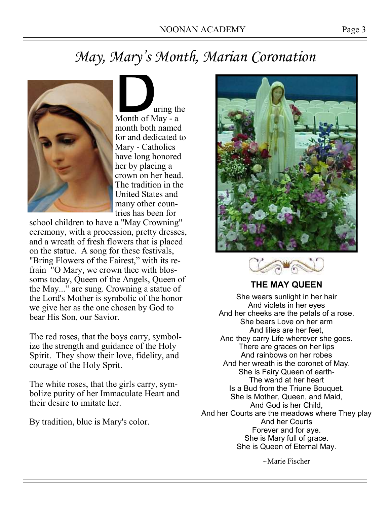### *May, Mary's Month, Marian Coronation*



Using the United States month both named for and dedicated to Mary - Catholics have long honored her by placing a crown on her head. The tradition in the United States and many other countries has been for

school children to have a "May Crowning" ceremony, with a procession, pretty dresses, and a wreath of fresh flowers that is placed on the statue. A song for these festivals, "Bring Flowers of the Fairest," with its refrain "O Mary, we crown thee with blossoms today, Queen of the Angels, Queen of the May..." are sung. Crowning a statue of the Lord's Mother is symbolic of the honor we give her as the one chosen by God to bear His Son, our Savior.

The red roses, that the boys carry, symbolize the strength and guidance of the Holy Spirit. They show their love, fidelity, and courage of the Holy Sprit.

The white roses, that the girls carry, symbolize purity of her Immaculate Heart and their desire to imitate her.

By tradition, blue is Mary's color.





#### **THE MAY QUEEN**

She wears sunlight in her hair And violets in her eyes And her cheeks are the petals of a rose. She bears Love on her arm And lilies are her feet, And they carry Life wherever she goes. There are graces on her lips And rainbows on her robes And her wreath is the coronet of May. She is Fairy Queen of earth-The wand at her heart Is a Bud from the Triune Bouquet. She is Mother, Queen, and Maid, And God is her Child, And her Courts are the meadows where They play And her Courts Forever and for aye. She is Mary full of grace. She is Queen of Eternal May.

~Marie Fischer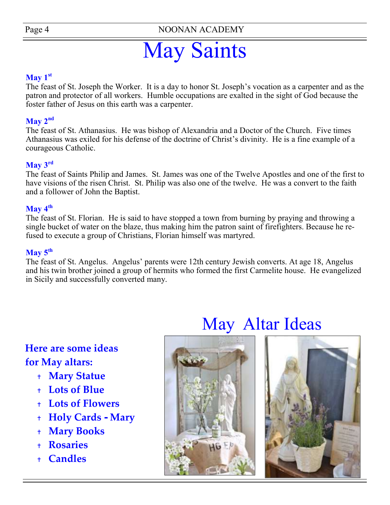Page 4 NOONAN ACADEMY

## May Saints

#### $\mathbf{May\ 1^{st}}$

The feast of St. Joseph the Worker. It is a day to honor St. Joseph's vocation as a carpenter and as the patron and protector of all workers. Humble occupations are exalted in the sight of God because the foster father of Jesus on this earth was a carpenter.

#### $\mathbf{May\ } 2^{\mathbf{nd}}$

The feast of St. Athanasius. He was bishop of Alexandria and a Doctor of the Church. Five times Athanasius was exiled for his defense of the doctrine of Christ's divinity. He is a fine example of a courageous Catholic.

#### **May 3rd**

The feast of Saints Philip and James. St. James was one of the Twelve Apostles and one of the first to have visions of the risen Christ. St. Philip was also one of the twelve. He was a convert to the faith and a follower of John the Baptist.

#### **May 4th**

The feast of St. Florian. He is said to have stopped a town from [burning](http://saints.sqpn.com/saint-florian-of-lorch/patrons-against-fire) by [praying a](http://saints.sqpn.com/saint-florian-of-lorch/prayer)nd throwing a single bucket of water on the blaze, thus making him the patron saint of firefighters. Because he refused to execute a group of Christians, Florian himself was martyred.

#### **May 5th**

The feast of St. Angelus. Angelus' parents were [12th century J](http://saints.sqpn.com/saint-angelus-of-jerusalem/12th-century)ewish [converts.](http://saints.sqpn.com/saint-angelus-of-jerusalem/patrons-of-converts) At age 18, Angelus and his twin brother joined a group of [hermits w](http://saints.sqpn.com/saint-angelus-of-jerusalem/patrons-of-hermits)ho formed the first [Carmelite h](http://saints.sqpn.com/saint-angelus-of-jerusalem/carmelites)ouse. He evangelized in Sicily and successfully converted many.

#### **Here are some ideas for May altars:**

- **Mary Statue**
- **Lots of Blue**
- **Lots of Flowers**
- **Holy Cards - Mary**
- **Mary Books**
- **Rosaries**
- **Candles**



### May Altar Ideas

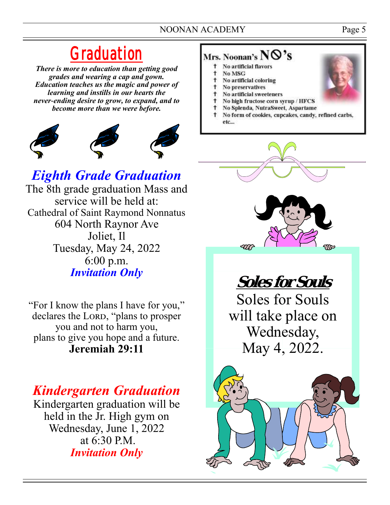#### NOONAN ACADEMY Page 5

### *Graduation*

*There is more to education than getting good grades and wearing a cap and gown. Education teaches us the magic and power of learning and instills in our hearts the never-ending desire to grow, to expand, and to become more than we were before.*



### *Eighth Grade Graduation*

The 8th grade graduation Mass and service will be held at: Cathedral of Saint Raymond Nonnatus 604 North Raynor Ave Joliet, Il Tuesday, May 24, 2022 6:00 p.m. *Invitation Only* 

"For I know the plans I have for you," declares the LORD, "plans to prosper you and not to harm you, plans to give you hope and a future. **Jeremiah 29:11** 

### *Kindergarten Graduation*

Kindergarten graduation will be held in the Jr. High gym on Wednesday, June 1, 2022 at 6:30 P.M. *Invitation Only* 

#### Mrs. Noonan's  $NQ's$

- t No artificial flavors
- $\ddagger$ No MSG
- $\mathbf{t}$ No artificial coloring
- **t** No preservatives
- No artificial sweeteners  $^{\dagger}$
- No high fructose corn syrup / HFCS No Splenda, NutraSweet, Aspartame
- <sup>1</sup> No form of cookies, cupcakes, candy, refined carbs, etc...



**Soles for Souls**  Soles for Souls will take place on Wednesday, May 4, 2022.